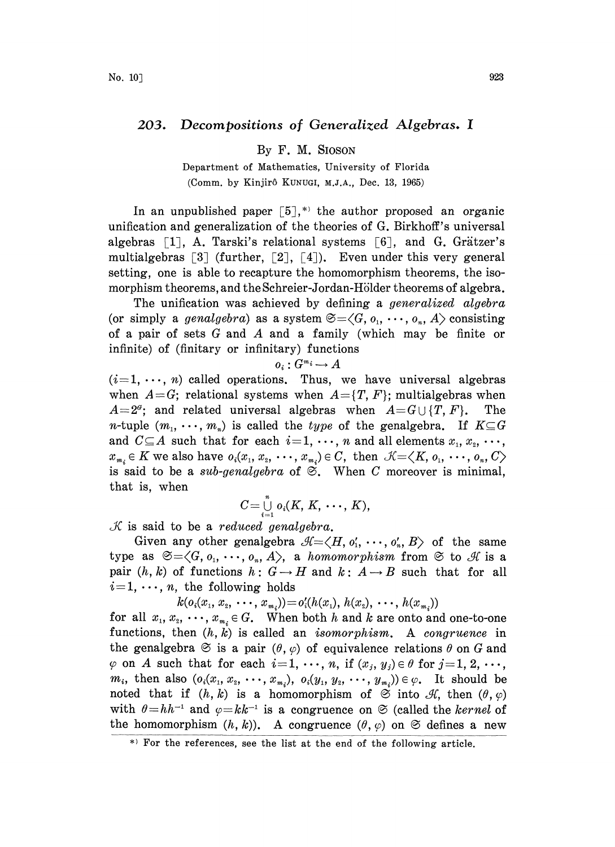## 203. Decompositions of Generalized Algebras. <sup>I</sup>

By F. M. SIOSON

Department of Mathematics, University of Florida (Comm. by Kinjirô KUNUGI, M.J.A., Dec. 13, 1965)

In an unpublished paper  $\lceil 5 \rceil$ ,<sup>\*</sup> the author proposed an organic unification and generalization of the theories of G. Birkhoff's universal algebras  $\lceil 1 \rceil$ , A. Tarski's relational systems  $\lceil 6 \rceil$ , and G. Grätzer's multialgebras  $\lceil 3 \rceil$  (further,  $\lceil 2 \rceil$ ,  $\lceil 4 \rceil$ ). Even under this very general setting, one is able to recapture the homomorphism theorems, the isomorphism theorems, and the Schreier-Jordan-Hölder theorems of algebra.

The unification was achieved by defining a *generalized algebra* (or simply a genalgebra) as a system  $\mathfrak{S}=\langle G, o_1, \cdots, o_n, A \rangle$  consisting of <sup>a</sup> pair of sets G and A and <sup>a</sup> family (which may be finite or infinite) of (finitary or infinitary) functions

## $o_i: G^{m_i} \to A$

 $(i=1, \dots, n)$  called operations. Thus, we have universal algebras when  $A = G$ ; relational systems when  $A = \{T, F\}$ ; multialgebras when  $A=2^a$ ; and related universal algebras when  $A=G\cup\{T,F\}$ . The *n*-tuple  $(m_1, \dots, m_n)$  is called the *type* of the genalgebra. If  $K \subseteq G$ and  $C \subseteq A$  such that for each  $i=1, \dots, n$  and all elements  $x_1, x_2, \dots,$  $x_{m_i} \in K$  we also have  $o_i(x_1, x_2, \dots, x_{m_i}) \in C$ , then  $\mathcal{K} = \langle K, o_1, \dots, o_n, C \rangle$ is said to be a sub-genalgebra of  $\mathfrak{S}$ . When C moreover is minimal, that is, when

$$
C=\bigcup_{i=1}^n o_i(K, K, \cdots, K),
$$

 $K$  is said to be a reduced genalgebra.

Given any other genalgebra  $\mathcal{A}=\langle H, o'_1, \cdots, o'_n, B \rangle$  of the same type as  $\mathfrak{S}=\langle G, o_1, \cdots, o_n, A \rangle$ , a homomorphism from  $\mathfrak{S}$  to  $\mathcal{A}$  is a pair  $(h, k)$  of functions  $h: G \to H$  and  $k: A \to B$  such that for all  $i=1, \dots, n$ , the following holds

 $k(o_i(x_1, x_2, \cdots, x_{m_i})) = o'_i(h(x_1), h(x_2), \cdots, h(x_{m_i}))$ 

for all  $x_1, x_2, \dots, x_{m_i} \in G$ . When both h and k are onto and one-to-one functions, then  $(h, k)$  is called an *isomorphism*. A *congruence* in the genalgebra  $\mathfrak{S}$  is a pair  $(\theta, \varphi)$  of equivalence relations  $\theta$  on G and  $\varphi$  on A such that for each  $i=1, \dots, n$ , if  $(x_j, y_j) \in \theta$  for  $j=1, 2, \dots$ ,  $m_i$ , then also  $(o_i(x_1, x_2, \dots, x_{m_i}), o_i(y_1, y_2, \dots, y_{m_i})) \in \varphi$ . It should be noted that if  $(h, k)$  is a homomorphism of  $\mathfrak{S}$  into  $\mathcal{H}$ , then  $(\theta, \varphi)$ with  $\theta = hh^{-1}$  and  $\varphi = kk$ <br>the homomorphism (h, k with  $\theta = hh^{-1}$  and  $\varphi = kk^{-1}$  is a congruence on  $\Im$  (called the *kernel* of the homomorphism  $(h, k)$ ). A congruence  $(\theta, \varphi)$  on  $\Im$  defines a new

For the references, see the list at the end of the following article.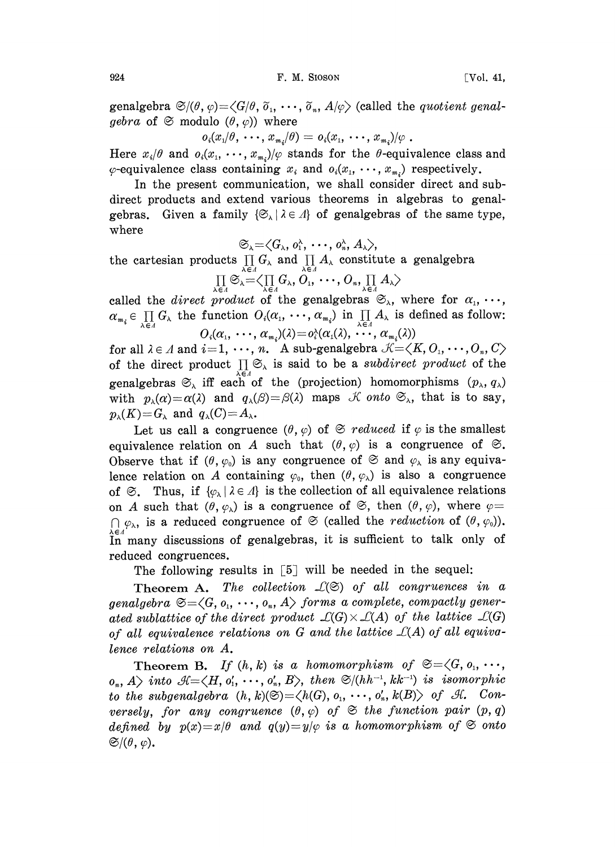genalgebra  $\mathfrak{S}/(\theta, \varphi) = \langle G/\theta, \tilde{\rho}_1, \cdots, \tilde{\rho}_n, A/\varphi \rangle$  (called the *quotient genalgebra* of  $\mathfrak{S}$  modulo  $(\theta, \varphi)$  where

$$
o_i(x_1/\theta,\,\cdots,\,x_{m_i}/\theta)=o_i(x_1,\,\cdots,\,x_{m_i})/\varphi.
$$

Here  $x_i/\theta$  and  $o_i(x_1, \dots, x_{m_i})/\varphi$  stands for the  $\theta$ -equivalence class and  $\varphi$ -equivalence class containing  $x_i$  and  $o_i(x_1, \dots, x_{m_i})$  respectively.

In the present communication, we shall consider direct and subdirect products and extend various theorems in algebras to genalgebras. Given a family  $\{\mathfrak{S}_{\lambda} \mid \lambda \in \Lambda\}$  of genalgebras of the same type, where

$$
\mathfrak{S}_{\lambda} {=} \langle G_{\lambda}, \, o_{1}^{\lambda}, \, \cdots, \, o_{n}^{\lambda}, \, A_{\lambda} \rangle,
$$

the cartesian products  $\prod_{\substack{\lambda \in A \\ \lambda \in A}} G_{\lambda}$  and  $\prod_{\substack{\lambda \in A \\ \lambda \in A}} A_{\lambda}$  constitute a genalgebra  $\prod_{\substack{\lambda \in A \\ \lambda \in A}} \mathcal{S}_{\lambda} = \bigl\langle \prod_{\substack{\lambda \in A \\ \lambda \in A}} G_{\lambda}, O_{1}, \cdots, O_{n}, \prod_{\substack{\lambda \in A \\ \lambda \in A}} A_{\lambda} \bigr\rangle$ 

$$
\prod_{\lambda \in \Lambda} \mathfrak{S}_{\lambda} = \big\langle \prod_{\lambda \in \Lambda} G_{\lambda}, O_{1}, \cdots, O_{n}, \prod_{\lambda \in \Lambda} A_{\lambda} \big\rangle
$$

called the *direct product* of the genalgebras  $\mathcal{L}_{\lambda}$ , where for  $\alpha_1, \dots,$  $\alpha_{m_i} \in \prod_{\lambda \in \Lambda} G_{\lambda}$  the function  $O_i(\alpha_1, \dots, \alpha_{m_i})$  in  $\prod_{\lambda \in \Lambda} A_{\lambda}$  is defined as follow:<br> $O_i(\alpha_1, \dots, \alpha_{m_i})(\lambda) = o_i^{\lambda}(\alpha_1(\lambda), \dots, \alpha_{m_i}(\lambda))$ 

for all  $\lambda \in \Lambda$  and  $i=1, \dots, n$ . A sub-genalgebra  $\mathcal{K} = \langle K, O_1, \dots, O_n, C \rangle$ of the direct product  $\prod_{\lambda} \mathfrak{S}_{\lambda}$  is said to be a subdirect product of the genalgebras  $\mathfrak{S}_{\lambda}$  iff each of the (projection) homomorphisms  $(p_{\lambda}, q_{\lambda})$ with  $p_{\lambda}(\alpha)=\alpha(\lambda)$  and  $q_{\lambda}(\beta)=\beta(\lambda)$  maps K onto  $\mathfrak{S}_{\lambda}$ , that is to say,  $p_{\lambda}(K)=G_{\lambda}$  and  $q_{\lambda}(C)=A_{\lambda}$ .

Let us call a congruence  $(\theta, \varphi)$  of  $\mathfrak{S}$  reduced if  $\varphi$  is the smallest equivalence relation on A such that  $(\theta, \varphi)$  is a congruence of  $\mathfrak{S}$ . Observe that if  $(\theta, \varphi_0)$  is any congruence of  $\mathfrak{S}$  and  $\varphi_\lambda$  is any equivalence relation on A containing  $\varphi_0$ , then  $(\theta, \varphi_\lambda)$  is also a congruence of  $\mathfrak{S}$ . Thus, if  $\{\varphi_{\lambda} | \lambda \in \Lambda\}$  is the collection of all equivalence relations on A such that  $(\theta, \varphi_\lambda)$  is a congruence of  $\mathfrak{S}$ , then  $(\theta, \varphi)$ , where  $\varphi =$  $\bigcap \varphi_{\lambda}$ , is a reduced congruence of  $\mathfrak{S}$  (called the *reduction* of  $(\theta, \varphi_0)$ ). In many discussions of genalgebras, it is sufficient to talk only of reduced congruences.

The following results in [5] will be needed in the sequel:

Theorem A. The collection  $\mathcal{L}(\mathfrak{S})$  of all congruences in a genalgebra  $\mathfrak{S}=\langle G, o_1, \cdots, o_n, A\rangle$  forms a complete, compactly generated sublattice of the direct product  $\mathcal{L}(G) \times \mathcal{L}(A)$  of the lattice  $\mathcal{L}(G)$ of all equivalence relations on  $G$  and the lattice  $\mathcal{L}(A)$  of all equivalence relations on A.

Theorem B. If  $(h, k)$  is a homomorphism of  $\mathfrak{S} = \langle G, o_1, \cdots,$  $o_n$ , A) into  $\mathcal{H}=\langle H, o'_1, \cdots, o'_n, B\rangle$ , then  $\mathfrak{S}/(hh^{-1}, kk^{-1})$  is isomorphic to the subgenalgebra  $(h, k)(\mathfrak{S}) = \langle h(G), o_1, \dots, o_n, k(B) \rangle$  of  $\mathcal{A}.$  Conversely, for any congruence  $(\theta, \varphi)$  of  $\mathfrak{S}$  the function pair  $(p, q)$ defined by  $p(x)=x/\theta$  and  $q(y)=y/\varphi$  is a homomorphism of  $\mathfrak S$  onto  $\mathfrak{S}/(\theta, \varphi)$ .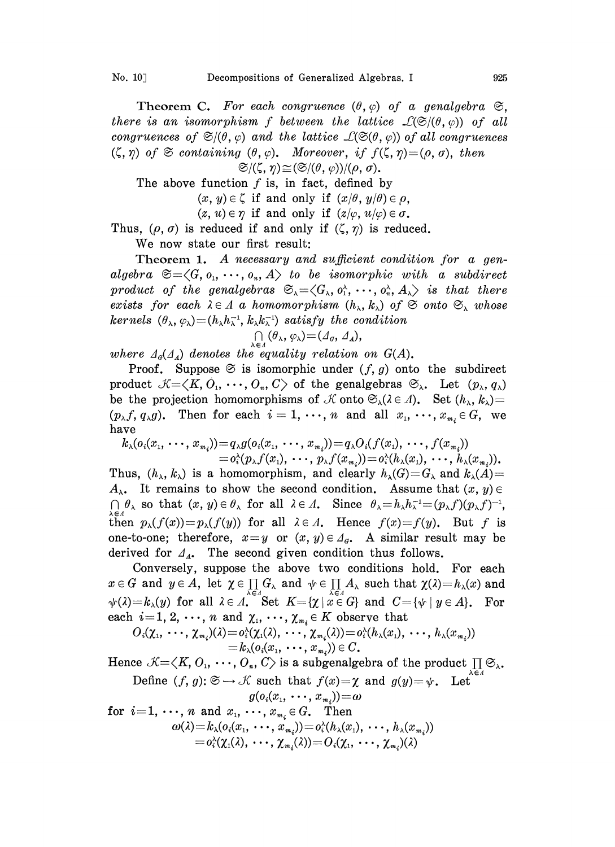Theorem C. For each congruence  $(\theta, \varphi)$  of a genalgebra  $\mathfrak{S}$ , there is an isomorphism f between the lattice  $\mathcal{L}(\mathfrak{S}/(\theta, \varphi))$  of all congruences of  $\mathfrak{S}(\theta, \varphi)$  and the lattice  $\mathcal{L}(\mathfrak{S}(\theta, \varphi))$  of all congruences  $(\zeta, \eta)$  of  $\mathfrak{S}$  containing  $(\theta, \varphi)$ . Moreover, if  $f(\zeta, \eta) = (\rho, \sigma)$ , then

 $\mathfrak{S}/(\zeta, \eta) \cong (\mathfrak{S}/(\theta, \varphi))/(\rho, \sigma).$ 

The above function  $f$  is, in fact, defined by

 $(x, y) \in \zeta$  if and only if  $(x/\theta, y/\theta) \in \rho$ ,

 $(z, u) \in \eta$  if and only if  $(z/\varphi, u/\varphi) \in \sigma$ .

Thus,  $(\rho, \sigma)$  is reduced if and only if  $(\zeta, \eta)$  is reduced.

We now state our first result:

Theorem 1. A necessary and sufficient condition for a genalgebra  $\mathfrak{S}=\langle G, o_1, \dots, o_n, A \rangle$  to be isomorphic with a subdirect product of the genalgebras  $\mathfrak{S}_{\lambda} = \langle G_{\lambda}, o_{1}^{\lambda}, \cdots, o_{n}^{\lambda}, A_{\lambda} \rangle$  is that there exists for each  $\lambda \in A$  a homomorphism  $(h_{\lambda}, k_{\lambda})$  of  $\mathfrak{S}$  onto  $\mathfrak{S}_{\lambda}$  whose kernels  $(\theta_{\lambda}, \varphi_{\lambda})=(h_{\lambda}h_{\lambda}^{-1}, k_{\lambda}k_{\lambda}^{-1})$  satisfy the condition

$$
\bigcap_{\lambda \in \Lambda} (\theta_{\lambda}, \varphi_{\lambda}) = (\varDelta_{\theta}, \varDelta_{\Lambda}),
$$

where  $\Delta_{\mathcal{G}}(\Delta_A)$  denotes the equality relation on  $G(A)$ .

Proof. Suppose  $\mathfrak{S}$  is isomorphic under  $(f, g)$  onto the subdirect product  $\mathcal{K}=\langle K, 0_1, \cdots, 0_n, C\rangle$  of the genalgebras  $\mathfrak{S}_{\lambda}$ . Let  $(p_{\lambda}, q_{\lambda})$ be the projection homomorphisms of  $\mathcal K$  onto  $\mathfrak{S}_{\lambda}(\lambda \in \Lambda)$ . Set  $(h_{\lambda}, k_{\lambda})=$  $(p_{\lambda}f, q_{\lambda}g)$ . Then for each  $i=1,\dots,n$  and all  $x_1,\dots,x_{m_i}\in G$ , we have

$$
k_{\lambda}(o_i(x_1,\dots,x_{m_i}))=q_{\lambda}g(o_i(x_1,\dots,x_{m_i}))=q_{\lambda}O_i(f(x_1),\dots,f(x_{m_i}))\\=o_i^{\lambda}(p_{\lambda}f(x_1),\dots,p_{\lambda}f(x_{m_i}))=o_i^{\lambda}(h_{\lambda}(x_1),\dots,h_{\lambda}(x_{m_i})).
$$

Thus,  $(h_{\lambda}, k_{\lambda})$  is a homomorphism, and clearly  $h_{\lambda}(G)=G_{\lambda}$  and  $k_{\lambda}(A)=$  $A_{\lambda}$ . It remains to show the second condition. Assume that  $(x, y) \in$  $\bigcap_{\substack{k\in A\\ k\neq n}} \theta_{\lambda}$  so that  $(x, y) \in \theta_{\lambda}$  for all  $\lambda \in A$ . Since  $\theta_{\lambda} = h_{\lambda}h_{\lambda}^{-1} = (p_{\lambda}f)(p_{\lambda}f)^{-1}$ , then  $p_{\lambda}(f(x))=p_{\lambda}(f(y))$  for all  $\lambda \in \Lambda$ . Hence  $f(x)=f(y)$ . But f is one-to-one; therefore,  $x=y$  or  $(x, y) \in A_{\sigma}$ . A similar result may be derived for  $\mathcal{A}_4$ . The second given condition thus follows.

Conversely, suppose the above two conditions hold. For each  $x \in G$  and  $y \in A$ , let  $\chi \in \prod G_{\lambda}$  and  $\psi \in \prod A_{\lambda}$  such that  $\chi(\lambda)=h_{\lambda}(x)$  and  $\psi(\lambda)=k_{\lambda}(y)$  for all  $\lambda \in \Lambda$ . Set  $K=\{\chi \mid x \in G\}$  and  $C=\{\psi \mid y \in A\}$ . For each  $i=1, 2, \dots, n$  and  $\chi_1, \dots, \chi_{m_i} \in K$  observe that  $O_i(\chi_1, \dots, \chi_m)(\lambda) = O_i(\chi_1, \dots, \chi_m)(\lambda) = O_i(h_1(x_i))$ .

$$
O_i(\chi_1, \ldots, \chi_{m_i})(\lambda) = o_i^{\lambda}(\chi_1(\lambda), \ldots, \chi_{m_i}(\lambda)) = o_i^{\lambda}(h_{\lambda}(x_1), \ldots, h_{\lambda}(x_{m_i}))
$$
  
=  $k_{\lambda}(o_i(x_1, \ldots, x_{m_i})) \in C$ .

Hence  $\mathcal{K}=\!\! \prec \!\! K, O_{\scriptscriptstyle 1},\,\cdots, \,O_{\scriptscriptstyle n}, \,C\!\! \succ$  is a subgenalgebra of the product  $\textstyle \prod \mathfrak{S}_\lambda.$ Define  $(f, g) \colon \mathfrak{S} \to \mathcal{K}$  such that  $f(x) = \chi$  and  $g(y) = \psi$ . Let

$$
g(o_i(x_1, \ldots, x_{m_i})) = \omega \\ \text{for } i = 1, \ldots, n \text{ and } x_1, \ldots, x_{m_i} \in G. \quad \text{Then} \\ \omega(\lambda) = k_{\lambda}(o_i(x_1, \ldots, x_{m_i})) = o_i^{\lambda}(h_{\lambda}(x_1), \ldots, h_{\lambda}(x_{m_i})) \\ = o_i^{\lambda}(\chi_1(\lambda), \ldots, \chi_{m_i}(\lambda)) = O_i(\chi_1, \ldots, \chi_{m_i})(\lambda)
$$